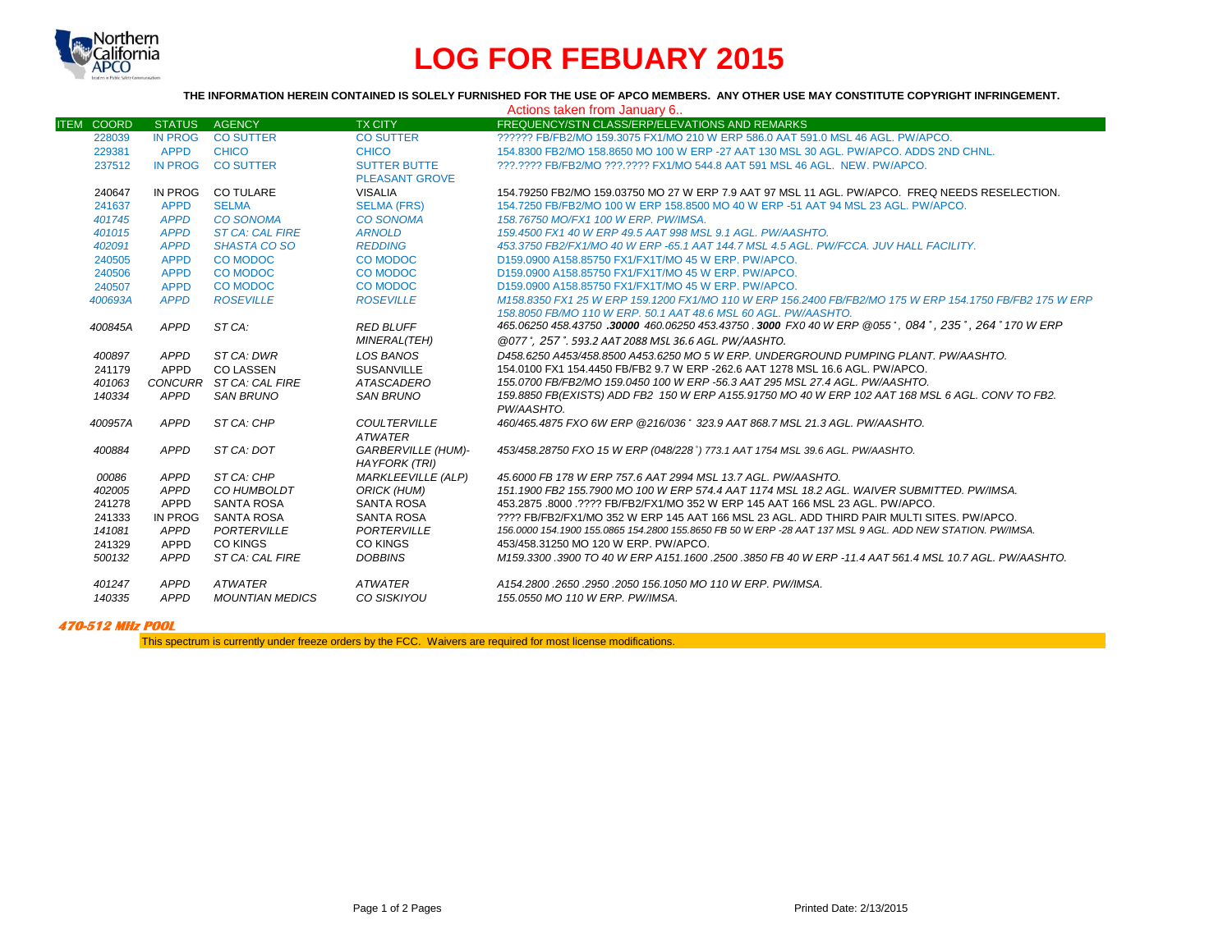

## **LOG FOR FEBUARY 2015**

**THE INFORMATION HEREIN CONTAINED IS SOLELY FURNISHED FOR THE USE OF APCO MEMBERS. ANY OTHER USE MAY CONSTITUTE COPYRIGHT INFRINGEMENT.**

|                   | Actions taken from January 6 |                         |                           |                                                                                                           |  |  |  |
|-------------------|------------------------------|-------------------------|---------------------------|-----------------------------------------------------------------------------------------------------------|--|--|--|
| <b>ITEM COORD</b> | <b>STATUS</b>                | <b>AGENCY</b>           | <b>TX CITY</b>            | FREQUENCY/STN CLASS/ERP/ELEVATIONS AND REMARKS                                                            |  |  |  |
| 228039            | <b>IN PROG</b>               | <b>CO SUTTER</b>        | <b>CO SUTTER</b>          | 222222 FB/FB2/MO 159.3075 FX1/MO 210 W ERP 586.0 AAT 591.0 MSL 46 AGL, PW/APCO.                           |  |  |  |
| 229381            | <b>APPD</b>                  | <b>CHICO</b>            | <b>CHICO</b>              | 154,8300 FB2/MO 158,8650 MO 100 W ERP -27 AAT 130 MSL 30 AGL, PW/APCO, ADDS 2ND CHNL,                     |  |  |  |
| 237512            | IN PROG                      | <b>CO SUTTER</b>        | <b>SUTTER BUTTE</b>       | 222.2222 FB/FB2/MO 222.2222 FX1/MO 544.8 AAT 591 MSL 46 AGL. NEW. PW/APCO.                                |  |  |  |
|                   |                              |                         | <b>PLEASANT GROVE</b>     |                                                                                                           |  |  |  |
| 240647            | IN PROG                      | <b>CO TULARE</b>        | <b>VISALIA</b>            | 154.79250 FB2/MO 159.03750 MO 27 W ERP 7.9 AAT 97 MSL 11 AGL, PW/APCO. FREQ NEEDS RESELECTION.            |  |  |  |
| 241637            | <b>APPD</b>                  | <b>SELMA</b>            | <b>SELMA (FRS)</b>        | 154.7250 FB/FB2/MO 100 W ERP 158.8500 MO 40 W ERP -51 AAT 94 MSL 23 AGL, PW/APCO,                         |  |  |  |
| 401745            | <b>APPD</b>                  | <b>CO SONOMA</b>        | <b>CO SONOMA</b>          | 158.76750 MO/FX1 100 W ERP. PW/IMSA.                                                                      |  |  |  |
| 401015            | <b>APPD</b>                  | <b>ST CA: CAL FIRE</b>  | <b>ARNOLD</b>             | 159.4500 FX1 40 W ERP 49.5 AAT 998 MSL 9.1 AGL, PW/AASHTO.                                                |  |  |  |
| 402091            | <b>APPD</b>                  | SHASTA CO SO            | <b>REDDING</b>            | 453.3750 FB2/FX1/MO 40 W ERP -65.1 AAT 144.7 MSL 4.5 AGL, PW/FCCA, JUV HALL FACILITY.                     |  |  |  |
| 240505            | <b>APPD</b>                  | <b>CO MODOC</b>         | <b>CO MODOC</b>           | D159,0900 A158,85750 FX1/FX1T/MO 45 W ERP, PW/APCO.                                                       |  |  |  |
| 240506            | <b>APPD</b>                  | <b>CO MODOC</b>         | <b>CO MODOC</b>           | D159,0900 A158,85750 FX1/FX1T/MO 45 W ERP, PW/APCO.                                                       |  |  |  |
| 240507            | <b>APPD</b>                  | <b>CO MODOC</b>         | <b>CO MODOC</b>           | D159.0900 A158.85750 FX1/FX1T/MO 45 W ERP. PW/APCO.                                                       |  |  |  |
| 400693A           | <b>APPD</b>                  | <b>ROSEVILLE</b>        | <b>ROSEVILLE</b>          | M158.8350 FX1 25 W ERP 159.1200 FX1/MO 110 W ERP 156.2400 FB/FB2/MO 175 W ERP 154.1750 FB/FB2 175 W ERP   |  |  |  |
|                   |                              |                         |                           | 158,8050 FB/MO 110 W ERP, 50.1 AAT 48.6 MSL 60 AGL, PW/AASHTO.                                            |  |  |  |
| 400845A           | APPD                         | ST CA:                  | <b>RED BLUFF</b>          | 465.06250 458.43750 .30000 460.06250 453.43750 .3000 FX0 40 W ERP @055°, 084°, 235°, 264° 170 W ERP       |  |  |  |
|                   |                              |                         | <b>MINERAL(TEH)</b>       | @077°, 257°, 593.2 AAT 2088 MSL 36.6 AGL, PW/AASHTO,                                                      |  |  |  |
| 400897            | APPD                         | ST CA: DWR              | <b>LOS BANOS</b>          | D458.6250 A453/458.8500 A453.6250 MO 5 W ERP. UNDERGROUND PUMPING PLANT. PW/AASHTO.                       |  |  |  |
| 241179            | APPD                         | <b>CO LASSEN</b>        | <b>SUSANVILLE</b>         | 154,0100 FX1 154,4450 FB/FB2 9.7 W ERP -262.6 AAT 1278 MSL 16.6 AGL, PW/APCO.                             |  |  |  |
| 401063            |                              | CONCURR ST CA: CAL FIRE | <b>ATASCADERO</b>         | 155,0700 FB/FB2/MO 159,0450 100 W ERP -56,3 AAT 295 MSL 27.4 AGL, PW/AASHTO,                              |  |  |  |
| 140334            | APPD                         | <b>SAN BRUNO</b>        | <b>SAN BRUNO</b>          | 159.8850 FB(EXISTS) ADD FB2 150 W ERP A155.91750 MO 40 W ERP 102 AAT 168 MSL 6 AGL. CONV TO FB2.          |  |  |  |
|                   |                              |                         |                           | PW/AASHTO.                                                                                                |  |  |  |
| 400957A           | APPD                         | ST CA: CHP              | <b>COULTERVILLE</b>       | 460/465.4875 FXO 6W ERP @216/036° 323.9 AAT 868.7 MSL 21.3 AGL, PW/AASHTO.                                |  |  |  |
|                   |                              |                         | <b>ATWATER</b>            |                                                                                                           |  |  |  |
| 400884            | APPD                         | ST CA: DOT              | <b>GARBERVILLE (HUM)-</b> | 453/458.28750 FXO 15 W ERP (048/228°) 773.1 AAT 1754 MSL 39.6 AGL. PW/AASHTO.                             |  |  |  |
|                   |                              |                         | <b>HAYFORK (TRI)</b>      |                                                                                                           |  |  |  |
| 00086             | APPD                         | ST CA: CHP              | <b>MARKLEEVILLE (ALP)</b> | 45,6000 FB 178 W ERP 757.6 AAT 2994 MSL 13.7 AGL, PW/AASHTO.                                              |  |  |  |
| 402005            | APPD                         | CO HUMBOLDT             | ORICK (HUM)               | 151.1900 FB2 155.7900 MO 100 W ERP 574.4 AAT 1174 MSL 18.2 AGL, WAIVER SUBMITTED, PW/IMSA.                |  |  |  |
| 241278            | APPD                         | <b>SANTA ROSA</b>       | <b>SANTA ROSA</b>         | 453.2875.8000.2222 FB/FB2/FX1/MO 352 W ERP 145 AAT 166 MSL 23 AGL. PW/APCO.                               |  |  |  |
| 241333            | <b>IN PROG</b>               | SANTA ROSA              | <b>SANTA ROSA</b>         | ???? FB/FB2/FX1/MO 352 W ERP 145 AAT 166 MSL 23 AGL. ADD THIRD PAIR MULTI SITES, PW/APCO.                 |  |  |  |
| 141081            | APPD                         | PORTERVILLE             | PORTERVILLE               | 156,0000 154,1900 155,0865 154,2800 155,8650 FB 50 W ERP -28 AAT 137 MSL 9 AGL, ADD NEW STATION, PW/IMSA, |  |  |  |
| 241329            | APPD                         | <b>CO KINGS</b>         | <b>CO KINGS</b>           | 453/458.31250 MO 120 W ERP. PW/APCO.                                                                      |  |  |  |
| 500132            | <b>APPD</b>                  | ST CA: CAL FIRE         | <b>DOBBINS</b>            | M159.3300 .3900 TO 40 W ERP A151.1600 .2500 .3850 FB 40 W ERP -11.4 AAT 561.4 MSL 10.7 AGL. PW/AASHTO.    |  |  |  |
| 401247            | APPD                         | <b>ATWATER</b>          | <b>ATWATER</b>            | A154.2800.2650.2950.2050.156.1050 MO 110 W ERP. PW/IMSA.                                                  |  |  |  |
| 140335            | <b>APPD</b>                  | <b>MOUNTIAN MEDICS</b>  | CO SISKIYOU               | 155.0550 MO 110 W ERP. PW/IMSA.                                                                           |  |  |  |

**470-512 MHz POOL**

This spectrum is currently under freeze orders by the FCC. Waivers are required for most license modifications.